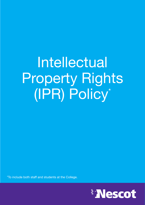# Intellectual Property Rights (IPR) Policy\*

\*To include both staff and students at the College.

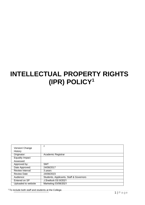# <span id="page-1-0"></span>**INTELLECTUAL PROPERTY RIGHTS (IPR) POLICY<sup>1</sup>**

| Version/ Change         | 2                                       |
|-------------------------|-----------------------------------------|
| History                 |                                         |
| Originator:             | Academic Registrar                      |
| <b>Equality Impact</b>  |                                         |
| Assessed:               |                                         |
| Approved by:            | <b>SMT</b>                              |
| Date Approved:          | 24/08/2017                              |
| <b>Review Interval:</b> | 3 years                                 |
| <b>Review Date</b>      | 24/08/2023                              |
| Audience:               | Students, Applicants, Staff & Governors |
| Entered on SP           | J.Snellock 03/.8/2021                   |
| Uploaded to website     | Marketing 03/08/2021                    |

<sup>1</sup> To include both staff and students at the College.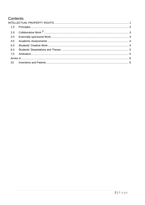# Contents

| 1.0 |  |  |
|-----|--|--|
|     |  |  |
| 3.0 |  |  |
| 4.0 |  |  |
| 5.0 |  |  |
| 6.0 |  |  |
| 7.0 |  |  |
|     |  |  |
| 23  |  |  |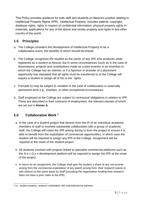This Policy provides guidance for both staff and students on Nescot's position relating to Intellectual Property Rights (IPR). 'Intellectual Property' includes patents, copyright, database rights, rights in respect of confidential information, physical property rights in materials, applications for any of the above and similar property and rights in any other country of the world.

#### <span id="page-3-0"></span>**1.0 Principles**

- a. The College considers the development of Intellectual Property to be a collaborative event, the benefits of which should beshared.
- b. The College recognises the student as the owner of any IPR s/he produces while registered as a student at Nescot, but in some circumstances (such as in the case of dissertations, projects and contributions made as a joint inventor in an invention in which the College has an interest, or if a Sponsor or provider of a placement opportunity has stipulated that all rights must be transferred to it) the College will require a student to assign all of his or her rights.
- c. Principle b) may be subject to variation in the case of collaborative or externally sponsored work e.g., charities, or other exceptional circumstances.
- d. Staff employed at the College are subject to contractual obligations in relation to IPR. These are described in their contracts of employment, the relevant clauses of which are set out in **Annex A.**

## <span id="page-3-1"></span>**2.0 Collaborative Work <sup>2</sup>**

- a. In the case of a student project that derives from the IP of an individual academic members of staff or involves substantial collaboration with a group of academic staff, the College will retain the IPR arising during or from the project to ensure it is able to benefit from the exploitation of commercial opportunities, in which case the student will be required to assign any IPR to the College. Assignment will be required at the onset of the student project.
- b. All students involved with projects linked to specialist commercial platforms such as the *N e x G e n* development platform will be required to assign the IPR at the onset of the project.
- c. In return for an assignment, the College shall give the student a share of any net income arising from the commercial exploitation of any patent arising from their research (alone or with others) on the same basis as Staff (providing the organisation funding their research does not have a prior claim to the IPR).

<sup>2</sup>i.e., student projects, research undertaken with internal/external partners.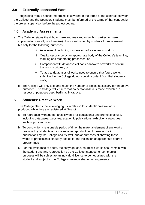#### <span id="page-4-0"></span>**3.0 Externally sponsored Work**

IPR originating from a sponsored project is covered in the terms of the contract between the College and the Sponsor. Students must be informed of the terms of that contract by the project supervisor before the project begins.

#### <span id="page-4-1"></span>**4.0 Academic Assessments**

- a. The College retains the right to make and may authorise third parties to make copies (electronically or otherwise) of work submitted by students for assessment but only for the following purposes:
	- i. Assessment (including moderation) of a student's work;or
	- ii. Quality Assurance by an appropriate body of the College's teaching, marking and moderating processes; or
	- iii. Comparison with databases of earlier answers or works to confirm the work is original; or
	- iv. To add to databases of works used to ensure that future works submitted to the College do not contain content from that student's work,
	- b. The College will only take and retain the number of copies necessary for the above purposes. The College will ensure that no personal data is made available in respect of purposes described in a. ii-ivabove.

#### <span id="page-4-2"></span>**5.0 Students' Creative Work**

The College claims the following rights in relation to students' creative work produced while they are registered at Nescot: -

- a. To reproduce, without fee, artistic works for educational and promotional use, including databases, websites, academic publications, exhibition catalogues, leaflets, prospectuses.
- b. To borrow, for a reasonable period of time, the material element of any works produced by students and/or a suitable reproduction of these works in publications by the College and its staff, and/or purposes of showing these works to professional statutory bodies for the validation of appropriate degree programmes.
- c. For the avoidance of doubt, the copyright of such artistic works shall remain with the student and any reproduction by the College intended for commercial purposes will be subject to an individual licence to be negotiated with the student and subject to the College's revenue sharing arrangements.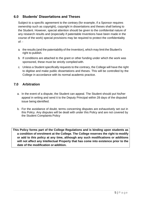#### <span id="page-5-0"></span>**6.0 Students' Dissertations and Theses**

Subject to a specific agreement to the contrary (for example, if a Sponsor requires ownership such as copyright), copyright in dissertations and theses shall belong to the Student. However, special attention should be given to the confidential nature of any research results and (especially if patentable Inventions have been made in the course of the work) special provisions may be required to protect the confidentiality  $of: -$ 

- a. the results (and the patentability of the Invention), which may limit the Student's right to publish.
- b. If conditions are attached to the grant or other funding under which the work was sponsored, these must be strictly complied with.
- c. Unless a Student specifically requests to the contrary, the College will have the right to digitise and make public dissertations and theses. This will be controlled by the College in accordance with its normal academic practice.

#### <span id="page-5-1"></span>**7.0 Arbitration**

- a. In the event of a dispute, the Student can appeal. The Student should put his/her appeal in writing and send it to the Deputy Principal within 28 days of the disputed issue being identified.
- b. For the avoidance of doubt, terms concerning disputes are exhaustively set out in this Policy. Any disputes will be dealt with under this Policy and are not covered by the Student Complaints Policy

**This Policy forms part of the College Regulations and is binding upon students as a condition of enrolment at the College. The College reserves the right to modify or add to this policy at any time, although any such modifications or additions will not affect any Intellectual Property that has come into existence prior to the date of the modification or addition.**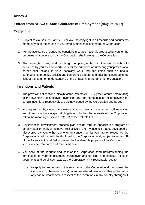#### <span id="page-6-0"></span>**Annex A**

## **Extract from NESCOT Staff Contracts of Employment (August 2017)**

#### **Copyright**

- 1. Subject to clauses 22.2 and 22.3 below, the copyright in all records and documents made by you in the course of your employment shall belong to theCorporation.
- 2. For the avoidance of doubt, the copyright in course materials produced by you for the purposes of a course run by the Corporation shall belong to theCorporation.
- 3. The copyright in any work or design compiled, edited or otherwise brought into existence by you as a scholarly work for the purposes of furthering your professional career shall belong to you; `scholarly work' includes items such as books, contributions to books, articles and conference papers, and shall be construed in the light of the common understanding of the phrase in further and highereducation.

#### <span id="page-6-1"></span>**Inventions and Patents**

- 1. The provisions of sections 39 to 42 of the Patents Act 1977 ("the Patents Act") relating to the ownership of employee inventions and the compensation of employees for certain inventions respectively are acknowledged by the Corporation and by you.
- 2. You agree that, by virtue of the nature of your duties and the responsibilities arising from them, you have a special obligation to further the interests of the Corporation within the meaning of section 39(1)(b) of the Patents Act.
- 3. Any invention, development, process, plan, design, formula, specification, program or other matter or work whatsoever (collectively "the Inventions") made, developed or discovered by you, either alone or in concert, whilst you are employed by the Corporation shall forthwith be disclosed to the Corporation and, subject to section 39 of the Patents Act, shall belong to and be the absolute property of the Corporation or such College Company as it may designate.
- 4. You shall at the request and cost of the Corporation (and notwithstanding the termination of your employment, howsoever arising) sign and execute all such documents and do all such acts as the Corporation may reasonably require:
	- a. to apply for and obtain in the sole name of the Corporation alone (unless the Corporation otherwise directs) patent, registered design, or other protection of any nature whatsoever in respect of the Inventions in any country throughout